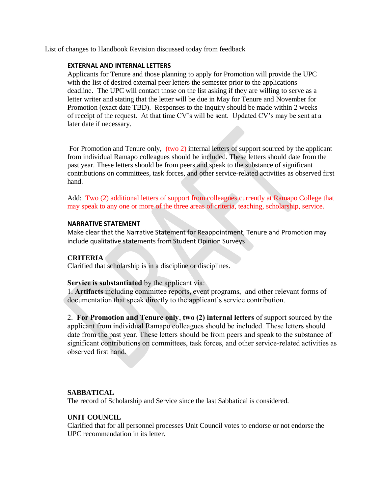List of changes to Handbook Revision discussed today from feedback

#### **EXTERNAL AND INTERNAL LETTERS**

Applicants for Tenure and those planning to apply for Promotion will provide the UPC with the list of desired external peer letters the semester prior to the applications deadline. The UPC will contact those on the list asking if they are willing to serve as a letter writer and stating that the letter will be due in May for Tenure and November for Promotion (exact date TBD). Responses to the inquiry should be made within 2 weeks of receipt of the request. At that time CV's will be sent. Updated CV's may be sent at a later date if necessary.

For Promotion and Tenure only, (two 2) internal letters of support sourced by the applicant from individual Ramapo colleagues should be included. These letters should date from the past year. These letters should be from peers and speak to the substance of significant contributions on committees, task forces, and other service-related activities as observed first hand.

Add: Two (2) additional letters of support from colleagues currently at Ramapo College that may speak to any one or more of the three areas of criteria, teaching, scholarship, service.

#### **NARRATIVE STATEMENT**

Make clear that the Narrative Statement for Reappointment, Tenure and Promotion may include qualitative statements from Student Opinion Surveys

## **CRITERIA**

Clarified that scholarship is in a discipline or disciplines.

## **Service is substantiated** by the applicant via:

1. **Artifacts** including committee reports, event programs, and other relevant forms of documentation that speak directly to the applicant's service contribution.

2. **For Promotion and Tenure only**, **two (2) internal letters** of support sourced by the applicant from individual Ramapo colleagues should be included. These letters should date from the past year. These letters should be from peers and speak to the substance of significant contributions on committees, task forces, and other service-related activities as observed first hand.

## **SABBATICAL**

The record of Scholarship and Service since the last Sabbatical is considered.

## **UNIT COUNCIL**

Clarified that for all personnel processes Unit Council votes to endorse or not endorse the UPC recommendation in its letter.